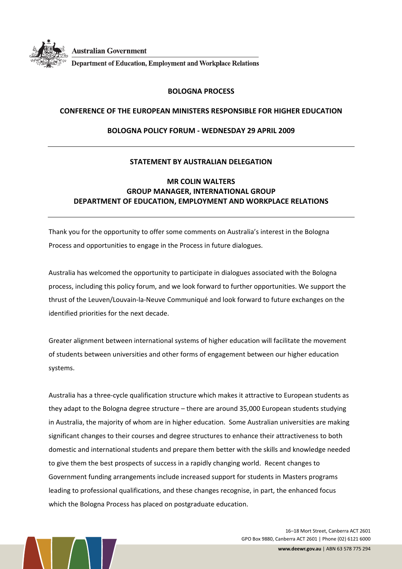

**Australian Government** 

**Department of Education, Employment and Workplace Relations** 

## **BOLOGNA PROCESS**

## **CONFERENCE OF THE EUROPEAN MINISTERS RESPONSIBLE FOR HIGHER EDUCATION**

## **BOLOGNA POLICY FORUM ‐ WEDNESDAY 29 APRIL 2009**

# **STATEMENT BY AUSTRALIAN DELEGATION**

# **MR COLIN WALTERS GROUP MANAGER, INTERNATIONAL GROUP DEPARTMENT OF EDUCATION, EMPLOYMENT AND WORKPLACE RELATIONS**

Thank you for the opportunity to offer some comments on Australia's interest in the Bologna Process and opportunities to engage in the Process in future dialogues.

Australia has welcomed the opportunity to participate in dialogues associated with the Bologna process, including this policy forum, and we look forward to further opportunities. We support the thrust of the Leuven/Louvain‐la‐Neuve Communiqué and look forward to future exchanges on the identified priorities for the next decade.

Greater alignment between international systems of higher education will facilitate the movement of students between universities and other forms of engagement between our higher education systems.

Australia has a three‐cycle qualification structure which makes it attractive to European students as they adapt to the Bologna degree structure – there are around 35,000 European students studying in Australia, the majority of whom are in higher education. Some Australian universities are making significant changes to their courses and degree structures to enhance their attractiveness to both domestic and international students and prepare them better with the skills and knowledge needed to give them the best prospects of success in a rapidly changing world. Recent changes to Government funding arrangements include increased support for students in Masters programs leading to professional qualifications, and these changes recognise, in part, the enhanced focus which the Bologna Process has placed on postgraduate education.

> 16–18 Mort Street, Canberra ACT 2601 GPO Box 9880, Canberra ACT 2601 | Phone (02) 6121 6000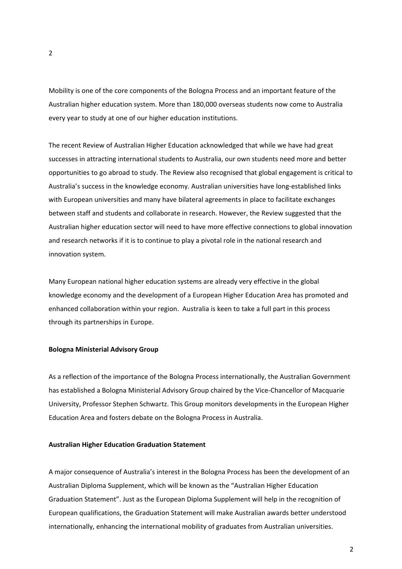Mobility is one of the core components of the Bologna Process and an important feature of the Australian higher education system. More than 180,000 overseas students now come to Australia every year to study at one of our higher education institutions.

The recent Review of Australian Higher Education acknowledged that while we have had great successes in attracting international students to Australia, our own students need more and better opportunities to go abroad to study. The Review also recognised that global engagement is critical to Australia's success in the knowledge economy. Australian universities have long‐established links with European universities and many have bilateral agreements in place to facilitate exchanges between staff and students and collaborate in research. However, the Review suggested that the Australian higher education sector will need to have more effective connections to global innovation and research networks if it is to continue to play a pivotal role in the national research and innovation system.

Many European national higher education systems are already very effective in the global knowledge economy and the development of a European Higher Education Area has promoted and enhanced collaboration within your region. Australia is keen to take a full part in this process through its partnerships in Europe.

#### **Bologna Ministerial Advisory Group**

As a reflection of the importance of the Bologna Process internationally, the Australian Government has established a Bologna Ministerial Advisory Group chaired by the Vice-Chancellor of Macquarie University, Professor Stephen Schwartz. This Group monitors developments in the European Higher Education Area and fosters debate on the Bologna Process in Australia.

## **Australian Higher Education Graduation Statement**

A major consequence of Australia's interest in the Bologna Process has been the development of an Australian Diploma Supplement, which will be known as the "Australian Higher Education Graduation Statement". Just as the European Diploma Supplement will help in the recognition of European qualifications, the Graduation Statement will make Australian awards better understood internationally, enhancing the international mobility of graduates from Australian universities.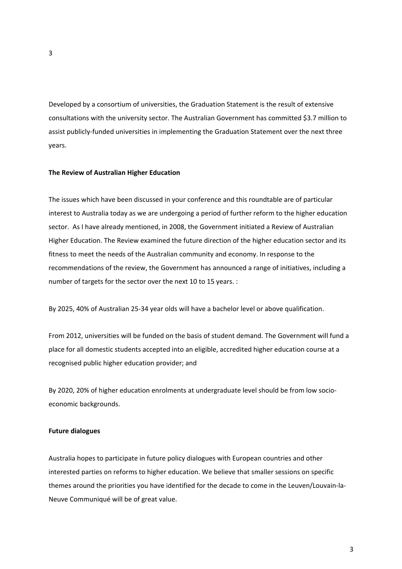Developed by a consortium of universities, the Graduation Statement is the result of extensive consultations with the university sector. The Australian Government has committed \$3.7 million to assist publicly-funded universities in implementing the Graduation Statement over the next three years.

#### **The Review of Australian Higher Education**

The issues which have been discussed in your conference and this roundtable are of particular interest to Australia today as we are undergoing a period of further reform to the higher education sector. As I have already mentioned, in 2008, the Government initiated a Review of Australian Higher Education. The Review examined the future direction of the higher education sector and its fitness to meet the needs of the Australian community and economy. In response to the recommendations of the review, the Government has announced a range of initiatives, including a number of targets for the sector over the next 10 to 15 years. :

By 2025, 40% of Australian 25‐34 year olds will have a bachelor level or above qualification.

From 2012, universities will be funded on the basis of student demand. The Government will fund a place for all domestic students accepted into an eligible, accredited higher education course at a recognised public higher education provider; and

By 2020, 20% of higher education enrolments at undergraduate level should be from low socioeconomic backgrounds.

#### **Future dialogues**

Australia hopes to participate in future policy dialogues with European countries and other interested parties on reforms to higher education. We believe that smaller sessions on specific themes around the priorities you have identified for the decade to come in the Leuven/Louvain‐la‐ Neuve Communiqué will be of great value.